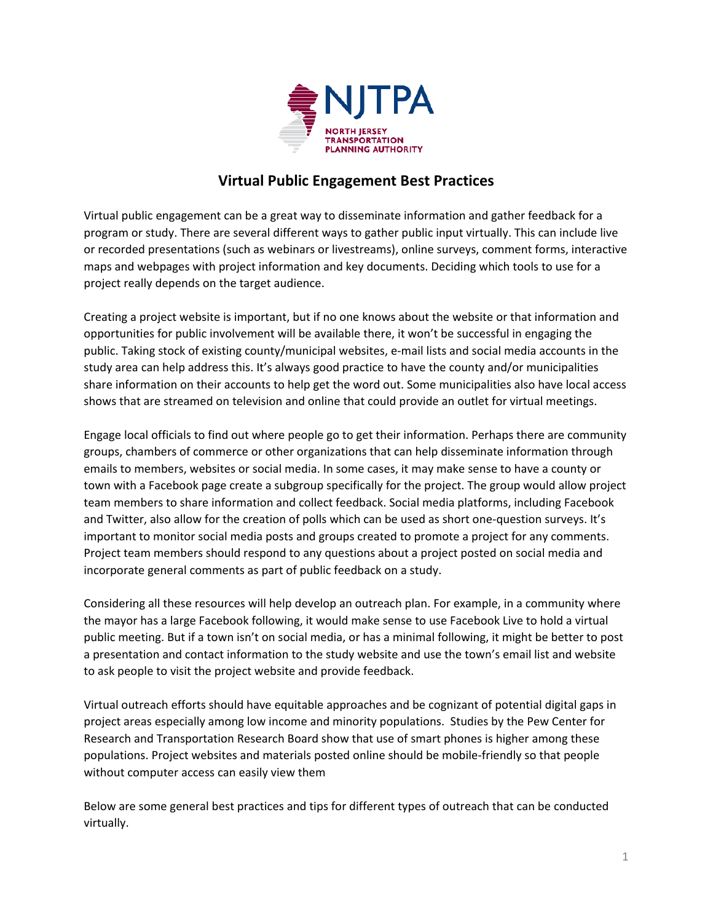

# **Virtual Public Engagement Best Practices**

Virtual public engagement can be a great way to disseminate information and gather feedback for a program or study. There are several different ways to gather public input virtually. This can include live or recorded presentations (such as webinars or livestreams), online surveys, comment forms, interactive maps and webpages with project information and key documents. Deciding which tools to use for a project really depends on the target audience.

Creating a project website is important, but if no one knows about the website or that information and opportunities for public involvement will be available there, it won't be successful in engaging the public. Taking stock of existing county/municipal websites, e-mail lists and social media accounts in the study area can help address this. It's always good practice to have the county and/or municipalities share information on their accounts to help get the word out. Some municipalities also have local access shows that are streamed on television and online that could provide an outlet for virtual meetings.

Engage local officials to find out where people go to get their information. Perhaps there are community groups, chambers of commerce or other organizations that can help disseminate information through emails to members, websites or social media. In some cases, it may make sense to have a county or town with a Facebook page create a subgroup specifically for the project. The group would allow project team members to share information and collect feedback. Social media platforms, including Facebook and Twitter, also allow for the creation of polls which can be used as short one-question surveys. It's important to monitor social media posts and groups created to promote a project for any comments. Project team members should respond to any questions about a project posted on social media and incorporate general comments as part of public feedback on a study.

Considering all these resources will help develop an outreach plan. For example, in a community where the mayor has a large Facebook following, it would make sense to use Facebook Live to hold a virtual public meeting. But if a town isn't on social media, or has a minimal following, it might be better to post a presentation and contact information to the study website and use the town's email list and website to ask people to visit the project website and provide feedback.

Virtual outreach efforts should have equitable approaches and be cognizant of potential digital gaps in project areas especially among low income and minority populations. Studies by the Pew Center for Research and Transportation Research Board show that use of smart phones is higher among these populations. Project websites and materials posted online should be mobile-friendly so that people without computer access can easily view them

Below are some general best practices and tips for different types of outreach that can be conducted virtually.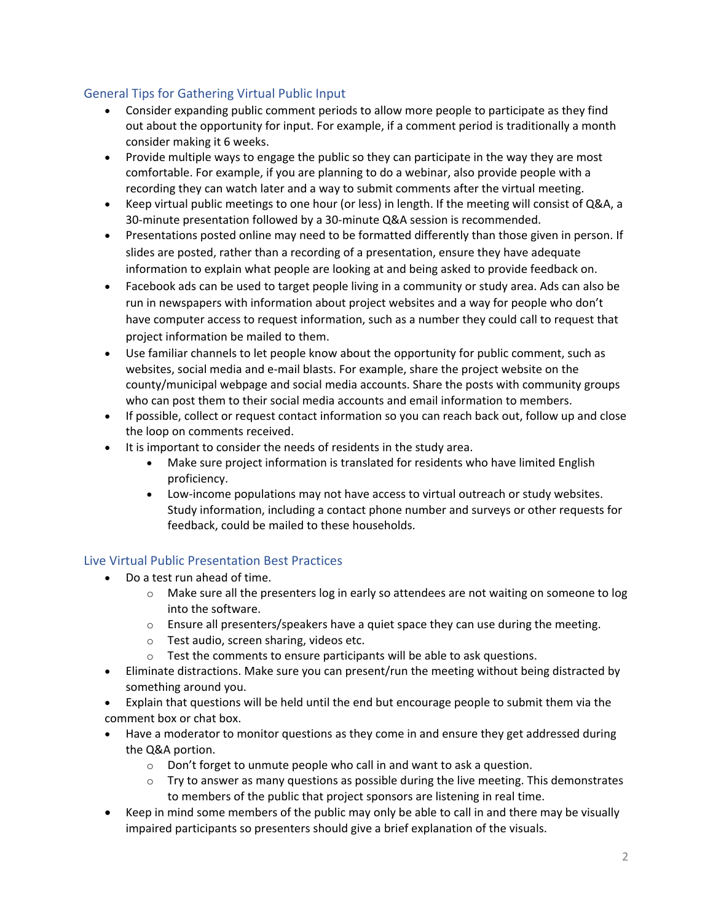# General Tips for Gathering Virtual Public Input

- Consider expanding public comment periods to allow more people to participate as they find out about the opportunity for input. For example, if a comment period is traditionally a month consider making it 6 weeks.
- Provide multiple ways to engage the public so they can participate in the way they are most comfortable. For example, if you are planning to do a webinar, also provide people with a recording they can watch later and a way to submit comments after the virtual meeting.
- Keep virtual public meetings to one hour (or less) in length. If the meeting will consist of Q&A, a 30-minute presentation followed by a 30-minute Q&A session is recommended.
- Presentations posted online may need to be formatted differently than those given in person. If slides are posted, rather than a recording of a presentation, ensure they have adequate information to explain what people are looking at and being asked to provide feedback on.
- Facebook ads can be used to target people living in a community or study area. Ads can also be run in newspapers with information about project websites and a way for people who don't have computer access to request information, such as a number they could call to request that project information be mailed to them.
- Use familiar channels to let people know about the opportunity for public comment, such as websites, social media and e-mail blasts. For example, share the project website on the county/municipal webpage and social media accounts. Share the posts with community groups who can post them to their social media accounts and email information to members.
- If possible, collect or request contact information so you can reach back out, follow up and close the loop on comments received.
- It is important to consider the needs of residents in the study area.
	- Make sure project information is translated for residents who have limited English proficiency.
	- Low-income populations may not have access to virtual outreach or study websites. Study information, including a contact phone number and surveys or other requests for feedback, could be mailed to these households.

## Live Virtual Public Presentation Best Practices

- Do a test run ahead of time.
	- $\circ$  Make sure all the presenters log in early so attendees are not waiting on someone to log into the software.
	- $\circ$  Ensure all presenters/speakers have a quiet space they can use during the meeting.
	- o Test audio, screen sharing, videos etc.
	- o Test the comments to ensure participants will be able to ask questions.
- Eliminate distractions. Make sure you can present/run the meeting without being distracted by something around you.
- Explain that questions will be held until the end but encourage people to submit them via the comment box or chat box.
- Have a moderator to monitor questions as they come in and ensure they get addressed during the Q&A portion.
	- $\circ$  Don't forget to unmute people who call in and want to ask a question.
	- $\circ$  Try to answer as many questions as possible during the live meeting. This demonstrates to members of the public that project sponsors are listening in real time.
- Keep in mind some members of the public may only be able to call in and there may be visually impaired participants so presenters should give a brief explanation of the visuals.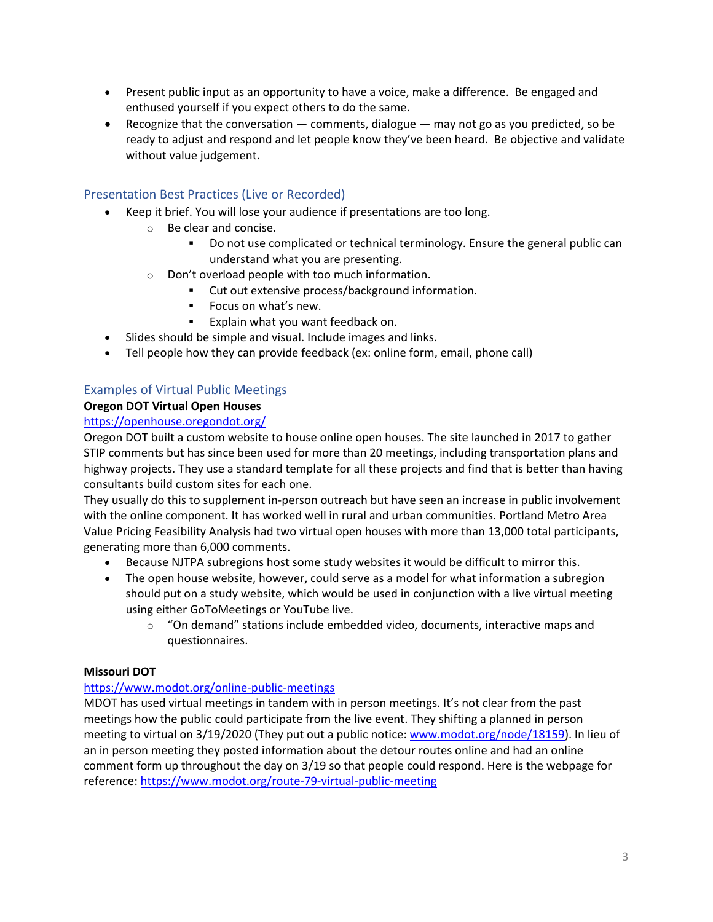- Present public input as an opportunity to have a voice, make a difference. Be engaged and enthused yourself if you expect others to do the same.
- Recognize that the conversation  $-$  comments, dialogue  $-$  may not go as you predicted, so be ready to adjust and respond and let people know they've been heard. Be objective and validate without value judgement.

# Presentation Best Practices (Live or Recorded)

- Keep it brief. You will lose your audience if presentations are too long.
	- o Be clear and concise.
		- Do not use complicated or technical terminology. Ensure the general public can understand what you are presenting.
	- o Don't overload people with too much information.
		- Cut out extensive process/background information.
		- **Focus on what's new.**
		- **Explain what you want feedback on.**
- Slides should be simple and visual. Include images and links.
- Tell people how they can provide feedback (ex: online form, email, phone call)

## Examples of Virtual Public Meetings

#### **Oregon DOT Virtual Open Houses**

#### <https://openhouse.oregondot.org/>

Oregon DOT built a custom website to house online open houses. The site launched in 2017 to gather STIP comments but has since been used for more than 20 meetings, including transportation plans and highway projects. They use a standard template for all these projects and find that is better than having consultants build custom sites for each one.

They usually do this to supplement in-person outreach but have seen an increase in public involvement with the online component. It has worked well in rural and urban communities. Portland Metro Area Value Pricing Feasibility Analysis had two virtual open houses with more than 13,000 total participants, generating more than 6,000 comments.

- Because NJTPA subregions host some study websites it would be difficult to mirror this.
- The open house website, however, could serve as a model for what information a subregion should put on a study website, which would be used in conjunction with a live virtual meeting using either GoToMeetings or YouTube live.
	- $\circ$  "On demand" stations include embedded video, documents, interactive maps and questionnaires.

#### **Missouri DOT**

#### <https://www.modot.org/online-public-meetings>

MDOT has used virtual meetings in tandem with in person meetings. It's not clear from the past meetings how the public could participate from the live event. They shifting a planned in person meeting to virtual on 3/19/2020 (They put out a public notice: [www.modot.org/node/18159\)](https://www.modot.org/node/18159). In lieu of an in person meeting they posted information about the detour routes online and had an online comment form up throughout the day on 3/19 so that people could respond. Here is the webpage for reference: <https://www.modot.org/route-79-virtual-public-meeting>